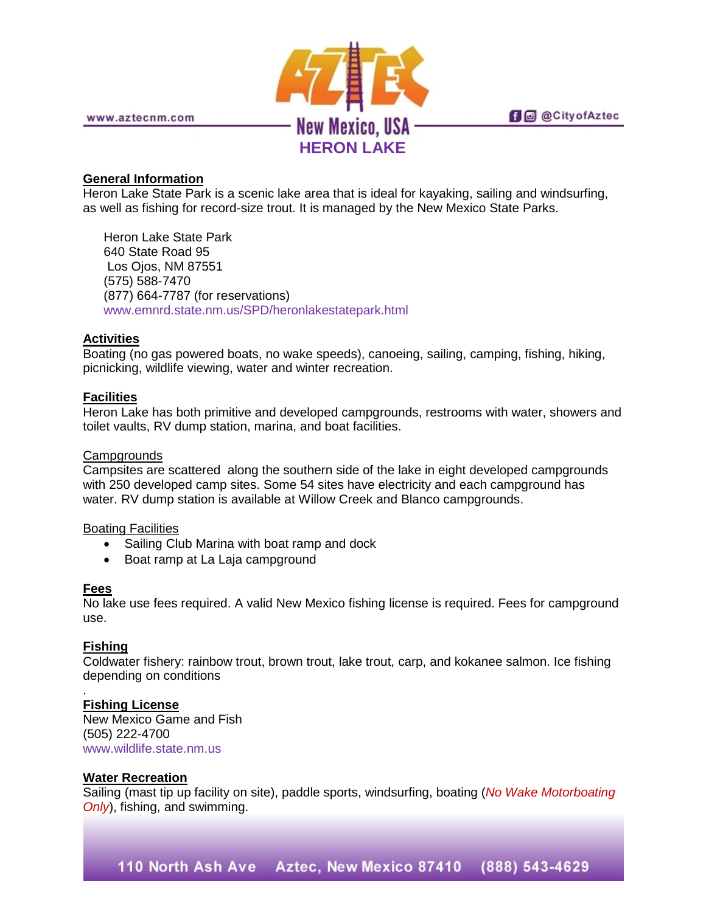

**fi** @ @ City of Aztec

www.aztecnm.com

## **General Information**

Heron Lake State Park is a scenic lake area that is ideal for kayaking, sailing and windsurfing, as well as fishing for record-size trout. It is managed by the New Mexico State Parks.

Heron Lake State Park 640 State Road 95 Los Ojos, NM 87551 (575) 588-7470 (877) 664-7787 (for reservations) [www.emnrd.state.nm.us/SPD/heronlakestatepark.html](http://www.emnrd.state.nm.us/SPD/heronlakestatepark.html)

# **Activities**

Boating (no gas powered boats, no wake speeds), canoeing, sailing, camping, fishing, hiking, picnicking, wildlife viewing, water and winter recreation.

### **Facilities**

Heron Lake has both primitive and developed campgrounds, restrooms with water, showers and toilet vaults, RV dump station, marina, and boat facilities.

#### **Campgrounds**

Campsites are scattered along the southern side of the lake in eight developed campgrounds with 250 developed camp sites. Some 54 sites have electricity and each campground has water. RV dump station is available at Willow Creek and Blanco campgrounds.

### Boating Facilities

- Sailing Club Marina with boat ramp and dock
- Boat ramp at La Laja campground

### **Fees**

No lake use fees required. A valid New Mexico fishing license is required. Fees for campground use.

### **Fishing**

Coldwater fishery: rainbow trout, brown trout, lake trout, carp, and kokanee salmon. Ice fishing depending on conditions

#### . **Fishing License**

New Mexico Game and Fish (505) 222-4700 [www.wildlife.state.nm.us](http://www.wildlife.state.nm.us/)

### **Water Recreation**

Sailing (mast tip up facility on site), paddle sports, windsurfing, boating (*No Wake Motorboating Only*), fishing, and swimming.

110 North Ash Ave Aztec, New Mexico 87410 (888) 543-4629